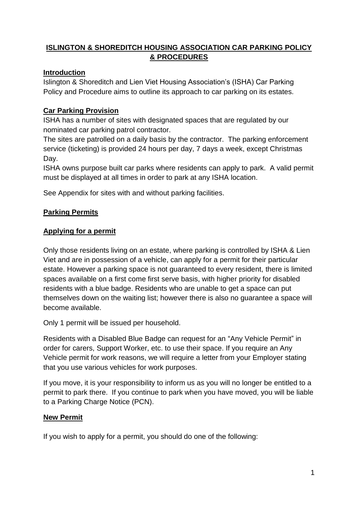# **ISLINGTON & SHOREDITCH HOUSING ASSOCIATION CAR PARKING POLICY & PROCEDURES**

## **Introduction**

Islington & Shoreditch and Lien Viet Housing Association's (ISHA) Car Parking Policy and Procedure aims to outline its approach to car parking on its estates.

# **Car Parking Provision**

ISHA has a number of sites with designated spaces that are regulated by our nominated car parking patrol contractor.

The sites are patrolled on a daily basis by the contractor. The parking enforcement service (ticketing) is provided 24 hours per day, 7 days a week, except Christmas Day.

ISHA owns purpose built car parks where residents can apply to park. A valid permit must be displayed at all times in order to park at any ISHA location.

See Appendix for sites with and without parking facilities.

## **Parking Permits**

## **Applying for a permit**

Only those residents living on an estate, where parking is controlled by ISHA & Lien Viet and are in possession of a vehicle, can apply for a permit for their particular estate. However a parking space is not guaranteed to every resident, there is limited spaces available on a first come first serve basis, with higher priority for disabled residents with a blue badge. Residents who are unable to get a space can put themselves down on the waiting list; however there is also no guarantee a space will become available.

Only 1 permit will be issued per household.

Residents with a Disabled Blue Badge can request for an "Any Vehicle Permit" in order for carers, Support Worker, etc. to use their space. If you require an Any Vehicle permit for work reasons, we will require a letter from your Employer stating that you use various vehicles for work purposes.

If you move, it is your responsibility to inform us as you will no longer be entitled to a permit to park there. If you continue to park when you have moved, you will be liable to a Parking Charge Notice (PCN).

## **New Permit**

If you wish to apply for a permit, you should do one of the following: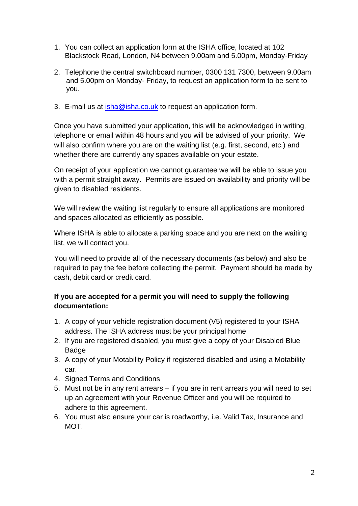- 1. You can collect an application form at the ISHA office, located at 102 Blackstock Road, London, N4 between 9.00am and 5.00pm, Monday-Friday
- 2. Telephone the central switchboard number, 0300 131 7300, between 9.00am and 5.00pm on Monday- Friday, to request an application form to be sent to you.
- 3. E-mail us at *isha@isha.co.uk* to request an application form.

Once you have submitted your application, this will be acknowledged in writing, telephone or email within 48 hours and you will be advised of your priority. We will also confirm where you are on the waiting list (e.g. first, second, etc.) and whether there are currently any spaces available on your estate.

On receipt of your application we cannot guarantee we will be able to issue you with a permit straight away. Permits are issued on availability and priority will be given to disabled residents.

We will review the waiting list regularly to ensure all applications are monitored and spaces allocated as efficiently as possible.

Where ISHA is able to allocate a parking space and you are next on the waiting list, we will contact you.

You will need to provide all of the necessary documents (as below) and also be required to pay the fee before collecting the permit. Payment should be made by cash, debit card or credit card.

# **If you are accepted for a permit you will need to supply the following documentation:**

- 1. A copy of your vehicle registration document (V5) registered to your ISHA address. The ISHA address must be your principal home
- 2. If you are registered disabled, you must give a copy of your Disabled Blue Badge
- 3. A copy of your Motability Policy if registered disabled and using a Motability car.
- 4. Signed Terms and Conditions
- 5. Must not be in any rent arrears if you are in rent arrears you will need to set up an agreement with your Revenue Officer and you will be required to adhere to this agreement.
- 6. You must also ensure your car is roadworthy, i.e. Valid Tax, Insurance and MOT.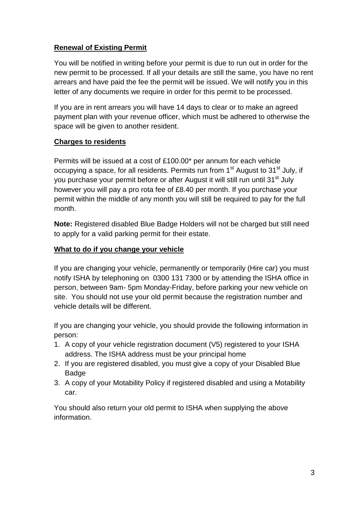# **Renewal of Existing Permit**

You will be notified in writing before your permit is due to run out in order for the new permit to be processed. If all your details are still the same, you have no rent arrears and have paid the fee the permit will be issued. We will notify you in this letter of any documents we require in order for this permit to be processed.

If you are in rent arrears you will have 14 days to clear or to make an agreed payment plan with your revenue officer, which must be adhered to otherwise the space will be given to another resident.

## **Charges to residents**

Permits will be issued at a cost of £100.00\* per annum for each vehicle occupying a space, for all residents. Permits run from 1<sup>st</sup> August to 31<sup>st</sup> July, if you purchase your permit before or after August it will still run until 31<sup>st</sup> July however you will pay a pro rota fee of £8.40 per month. If you purchase your permit within the middle of any month you will still be required to pay for the full month.

**Note:** Registered disabled Blue Badge Holders will not be charged but still need to apply for a valid parking permit for their estate.

## **What to do if you change your vehicle**

If you are changing your vehicle, permanently or temporarily (Hire car) you must notify ISHA by telephoning on 0300 131 7300 or by attending the ISHA office in person, between 9am- 5pm Monday-Friday, before parking your new vehicle on site. You should not use your old permit because the registration number and vehicle details will be different.

If you are changing your vehicle, you should provide the following information in person:

- 1. A copy of your vehicle registration document (V5) registered to your ISHA address. The ISHA address must be your principal home
- 2. If you are registered disabled, you must give a copy of your Disabled Blue **Badge**
- 3. A copy of your Motability Policy if registered disabled and using a Motability car.

You should also return your old permit to ISHA when supplying the above information.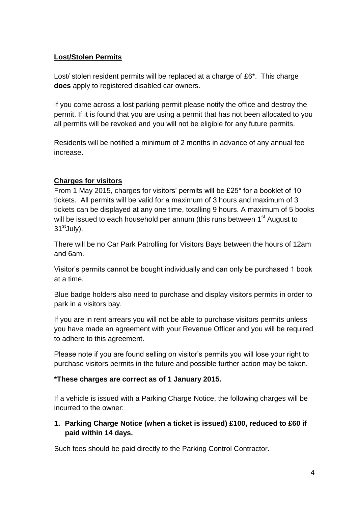## **Lost/Stolen Permits**

Lost/ stolen resident permits will be replaced at a charge of £6<sup>\*</sup>. This charge **does** apply to registered disabled car owners.

If you come across a lost parking permit please notify the office and destroy the permit. If it is found that you are using a permit that has not been allocated to you all permits will be revoked and you will not be eligible for any future permits.

Residents will be notified a minimum of 2 months in advance of any annual fee increase.

## **Charges for visitors**

From 1 May 2015, charges for visitors' permits will be £25\* for a booklet of 10 tickets. All permits will be valid for a maximum of 3 hours and maximum of 3 tickets can be displayed at any one time, totalling 9 hours. A maximum of 5 books will be issued to each household per annum (this runs between 1<sup>st</sup> August to  $31<sup>st</sup>$ July).

There will be no Car Park Patrolling for Visitors Bays between the hours of 12am and 6am.

Visitor's permits cannot be bought individually and can only be purchased 1 book at a time.

Blue badge holders also need to purchase and display visitors permits in order to park in a visitors bay.

If you are in rent arrears you will not be able to purchase visitors permits unless you have made an agreement with your Revenue Officer and you will be required to adhere to this agreement.

Please note if you are found selling on visitor's permits you will lose your right to purchase visitors permits in the future and possible further action may be taken.

## **\*These charges are correct as of 1 January 2015.**

If a vehicle is issued with a Parking Charge Notice, the following charges will be incurred to the owner:

## **1. Parking Charge Notice (when a ticket is issued) £100, reduced to £60 if paid within 14 days.**

Such fees should be paid directly to the Parking Control Contractor.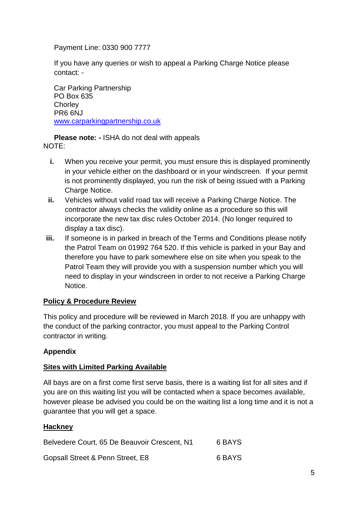Payment Line: 0330 900 7777

If you have any queries or wish to appeal a Parking Charge Notice please contact: -

Car Parking Partnership PO Box 635 **Chorley** PR6 6NJ [www.carparkingpartnership.co.uk](http://www.carparkingpartnership.co.uk/)

**Please note: -** ISHA do not deal with appeals NOTE:

- **i.** When you receive your permit, you must ensure this is displayed prominently in your vehicle either on the dashboard or in your windscreen. If your permit is not prominently displayed, you run the risk of being issued with a Parking Charge Notice.
- **ii.** Vehicles without valid road tax will receive a Parking Charge Notice. The contractor always checks the validity online as a procedure so this will incorporate the new tax disc rules October 2014. (No longer required to display a tax disc).
- **iii.** If someone is in parked in breach of the Terms and Conditions please notify the Patrol Team on 01992 764 520. If this vehicle is parked in your Bay and therefore you have to park somewhere else on site when you speak to the Patrol Team they will provide you with a suspension number which you will need to display in your windscreen in order to not receive a Parking Charge Notice.

## **Policy & Procedure Review**

This policy and procedure will be reviewed in March 2018. If you are unhappy with the conduct of the parking contractor, you must appeal to the Parking Control contractor in writing.

# **Appendix**

## **Sites with Limited Parking Available**

All bays are on a first come first serve basis, there is a waiting list for all sites and if you are on this waiting list you will be contacted when a space becomes available, however please be advised you could be on the waiting list a long time and it is not a guarantee that you will get a space.

## **Hackney**

| Belvedere Court, 65 De Beauvoir Crescent, N1 | 6 BAYS |
|----------------------------------------------|--------|
| Gopsall Street & Penn Street, E8             | 6 BAYS |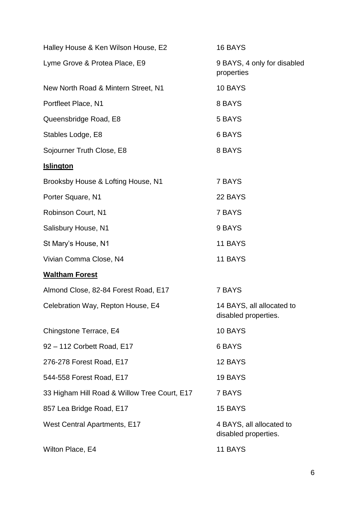| Halley House & Ken Wilson House, E2          | 16 BAYS                                           |
|----------------------------------------------|---------------------------------------------------|
| Lyme Grove & Protea Place, E9                | 9 BAYS, 4 only for disabled<br>properties         |
| New North Road & Mintern Street, N1          | 10 BAYS                                           |
| Portfleet Place, N1                          | 8 BAYS                                            |
| Queensbridge Road, E8                        | 5 BAYS                                            |
| Stables Lodge, E8                            | 6 BAYS                                            |
| Sojourner Truth Close, E8                    | 8 BAYS                                            |
| <b>Islington</b>                             |                                                   |
| Brooksby House & Lofting House, N1           | 7 BAYS                                            |
| Porter Square, N1                            | 22 BAYS                                           |
| Robinson Court, N1                           | 7 BAYS                                            |
| Salisbury House, N1                          | 9 BAYS                                            |
| St Mary's House, N1                          | 11 BAYS                                           |
| Vivian Comma Close, N4                       | 11 BAYS                                           |
| <b>Waltham Forest</b>                        |                                                   |
| Almond Close, 82-84 Forest Road, E17         | 7 BAYS                                            |
| Celebration Way, Repton House, E4            | 14 BAYS, all allocated to<br>disabled properties. |
| Chingstone Terrace, E4                       | 10 BAYS                                           |
| 92 - 112 Corbett Road, E17                   | 6 BAYS                                            |
| 276-278 Forest Road, E17                     | 12 BAYS                                           |
| 544-558 Forest Road, E17                     | 19 BAYS                                           |
| 33 Higham Hill Road & Willow Tree Court, E17 | 7 BAYS                                            |
| 857 Lea Bridge Road, E17                     | 15 BAYS                                           |
| West Central Apartments, E17                 | 4 BAYS, all allocated to<br>disabled properties.  |
| Wilton Place, E4                             | 11 BAYS                                           |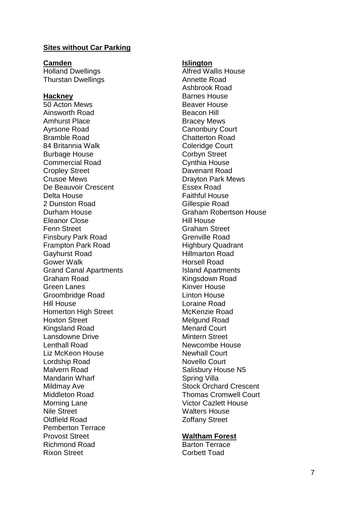#### **Sites without Car Parking**

#### **Camden**

Holland Dwellings Thurstan Dwellings

#### **Hackney**

50 Acton Mews Ainsworth Road Amhurst Place Ayrsone Road Bramble Road 84 Britannia Walk Burbage House Commercial Road Cropley Street Crusoe Mews De Beauvoir Crescent Delta House 2 Dunston Road Durham House Eleanor Close Fenn Street Finsbury Park Road Frampton Park Road Gayhurst Road Gower Walk Grand Canal Apartments Graham Road Green Lanes Groombridge Road Hill House Homerton High Street Hoxton Street Kingsland Road Lansdowne Drive Lenthall Road Liz McKeon House Lordship Road Malvern Road Mandarin Wharf Mildmay Ave Middleton Road Morning Lane Nile Street Oldfield Road Pemberton Terrace Provost Street Richmond Road Rixon Street

#### **Islington**

Alfred Wallis House Annette Road Ashbrook Road Barnes House Beaver House Beacon Hill Bracey Mews Canonbury Court Chatterton Road Coleridge Court Corbyn Street Cynthia House Davenant Road Drayton Park Mews Essex Road Faithful House Gillespie Road Graham Robertson House Hill House Graham Street Grenville Road Highbury Quadrant Hillmarton Road Horsell Road Island Apartments Kingsdown Road Kinver House Linton House Loraine Road McKenzie Road Melgund Road Menard Court Mintern Street Newcombe House Newhall Court Novello Court Salisbury House N5 Spring Villa Stock Orchard Crescent Thomas Cromwell Court Victor Cazlett House Walters House Zoffany Street

#### **Waltham Forest**

Barton Terrace Corbett Toad